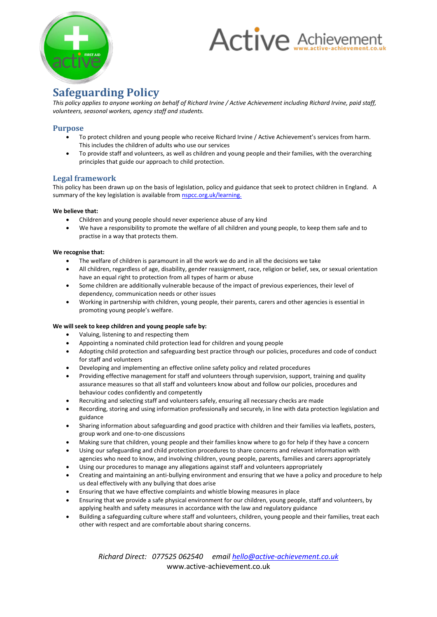

# **Active Achievement**

# **Safeguarding Policy**

*This policy applies to anyone working on behalf of Richard Irvine / Active Achievement including Richard Irvine, paid staff, volunteers, seasonal workers, agency staff and students.*

## **Purpose**

- To protect children and young people who receive Richard Irvine / Active Achievement's services from harm. This includes the children of adults who use our services
- To provide staff and volunteers, as well as children and young people and their families, with the overarching principles that guide our approach to child protection.

#### **Legal framework**

This policy has been drawn up on the basis of legislation, policy and guidance that seek to protect children in England. A summary of the key legislation is available from **nspcc.org.uk/learning**.

#### **We believe that:**

- Children and young people should never experience abuse of any kind
- We have a responsibility to promote the welfare of all children and young people, to keep them safe and to practise in a way that protects them.

#### **We recognise that:**

- The welfare of children is paramount in all the work we do and in all the decisions we take
- All children, regardless of age, disability, gender reassignment, race, religion or belief, sex, or sexual orientation have an equal right to protection from all types of harm or abuse
- Some children are additionally vulnerable because of the impact of previous experiences, their level of dependency, communication needs or other issues
- Working in partnership with children, young people, their parents, carers and other agencies is essential in promoting young people's welfare.

#### **We will seek to keep children and young people safe by:**

- Valuing, listening to and respecting them
- Appointing a nominated child protection lead for children and young people
- Adopting child protection and safeguarding best practice through our policies, procedures and code of conduct for staff and volunteers
- Developing and implementing an effective online safety policy and related procedures
- Providing effective management for staff and volunteers through supervision, support, training and quality assurance measures so that all staff and volunteers know about and follow our policies, procedures and behaviour codes confidently and competently
- Recruiting and selecting staff and volunteers safely, ensuring all necessary checks are made
- Recording, storing and using information professionally and securely, in line with data protection legislation and guidance
- Sharing information about safeguarding and good practice with children and their families via leaflets, posters, group work and one-to-one discussions
- Making sure that children, young people and their families know where to go for help if they have a concern
- Using our safeguarding and child protection procedures to share concerns and relevant information with agencies who need to know, and involving children, young people, parents, families and carers appropriately
- Using our procedures to manage any allegations against staff and volunteers appropriately
- Creating and maintaining an anti-bullying environment and ensuring that we have a policy and procedure to help us deal effectively with any bullying that does arise
- Ensuring that we have effective complaints and whistle blowing measures in place
- Ensuring that we provide a safe physical environment for our children, young people, staff and volunteers, by applying health and safety measures in accordance with the law and regulatory guidance
- Building a safeguarding culture where staff and volunteers, children, young people and their families, treat each other with respect and are comfortable about sharing concerns.

*Richard Direct: 077525 062540 email hello@active-achievement.co.uk* www.active-achievement.co.uk